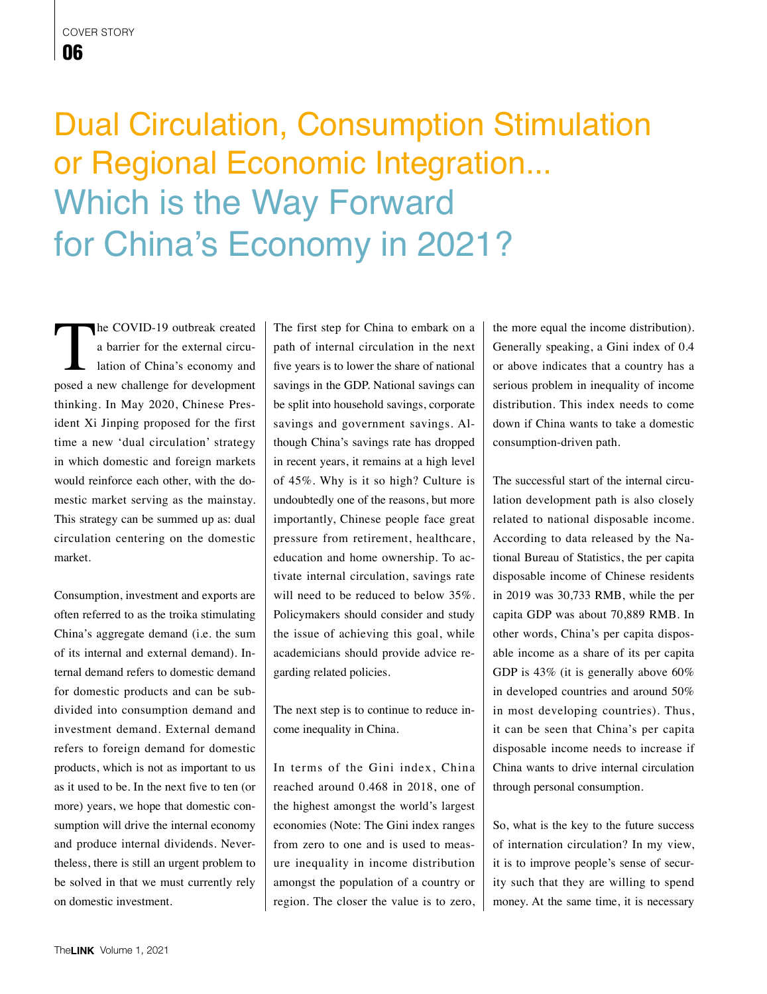## cover story 06

## Dual Circulation, Consumption Stimulation or Regional Economic Integration... Which is the Way Forward for China's Economy in 2021?

The COVID-19 outbreak created<br>
a barrier for the external circulation of China's economy and<br>
posed a new challenge for development a barrier for the external circulation of China's economy and thinking. In May 2020, Chinese President Xi Jinping proposed for the first time a new 'dual circulation' strategy in which domestic and foreign markets would reinforce each other, with the domestic market serving as the mainstay. This strategy can be summed up as: dual circulation centering on the domestic market.

Consumption, investment and exports are often referred to as the troika stimulating China's aggregate demand (i.e. the sum of its internal and external demand). Internal demand refers to domestic demand for domestic products and can be subdivided into consumption demand and investment demand. External demand refers to foreign demand for domestic products, which is not as important to us as it used to be. In the next five to ten (or more) years, we hope that domestic consumption will drive the internal economy and produce internal dividends. Nevertheless, there is still an urgent problem to be solved in that we must currently rely on domestic investment.

The first step for China to embark on a path of internal circulation in the next five years is to lower the share of national savings in the GDP. National savings can be split into household savings, corporate savings and government savings. Although China's savings rate has dropped in recent years, it remains at a high level of 45%. Why is it so high? Culture is undoubtedly one of the reasons, but more importantly, Chinese people face great pressure from retirement, healthcare, education and home ownership. To activate internal circulation, savings rate will need to be reduced to below 35%. Policymakers should consider and study the issue of achieving this goal, while academicians should provide advice regarding related policies.

The next step is to continue to reduce income inequality in China.

In terms of the Gini index, China reached around 0.468 in 2018, one of the highest amongst the world's largest economies (Note: The Gini index ranges from zero to one and is used to measure inequality in income distribution amongst the population of a country or region. The closer the value is to zero, the more equal the income distribution). Generally speaking, a Gini index of 0.4 or above indicates that a country has a serious problem in inequality of income distribution. This index needs to come down if China wants to take a domestic consumption-driven path.

The successful start of the internal circulation development path is also closely related to national disposable income. According to data released by the National Bureau of Statistics, the per capita disposable income of Chinese residents in 2019 was 30,733 RMB, while the per capita GDP was about 70,889 RMB. In other words, China's per capita disposable income as a share of its per capita GDP is 43% (it is generally above 60% in developed countries and around 50% in most developing countries). Thus, it can be seen that China's per capita disposable income needs to increase if China wants to drive internal circulation through personal consumption.

So, what is the key to the future success of internation circulation? In my view, it is to improve people's sense of security such that they are willing to spend money. At the same time, it is necessary